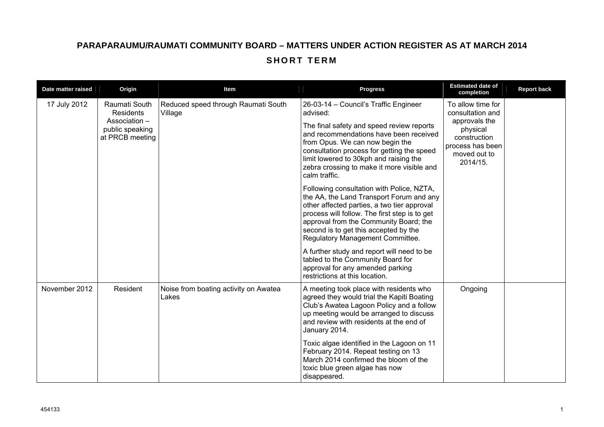## **PARAPARAUMU/RAUMATI COMMUNITY BOARD – MATTERS UNDER ACTION REGISTER AS AT MARCH 2014 SHORT TERM**

| Date matter raised | Origin                                                                            | ltem                                           | <b>Progress</b>                                                                                                                                                                                                                                                                                                                    | <b>Estimated date of</b><br>completion                                                                                             | <b>Report back</b> |
|--------------------|-----------------------------------------------------------------------------------|------------------------------------------------|------------------------------------------------------------------------------------------------------------------------------------------------------------------------------------------------------------------------------------------------------------------------------------------------------------------------------------|------------------------------------------------------------------------------------------------------------------------------------|--------------------|
| 17 July 2012       | Raumati South<br>Residents<br>Association -<br>public speaking<br>at PRCB meeting | Reduced speed through Raumati South<br>Village | 26-03-14 - Council's Traffic Engineer<br>advised:<br>The final safety and speed review reports<br>and recommendations have been received<br>from Opus. We can now begin the<br>consultation process for getting the speed<br>limit lowered to 30kph and raising the<br>zebra crossing to make it more visible and<br>calm traffic. | To allow time for<br>consultation and<br>approvals the<br>physical<br>construction<br>process has been<br>moved out to<br>2014/15. |                    |
|                    |                                                                                   |                                                | Following consultation with Police, NZTA,<br>the AA, the Land Transport Forum and any<br>other affected parties, a two tier approval<br>process will follow. The first step is to get<br>approval from the Community Board; the<br>second is to get this accepted by the<br>Regulatory Management Committee.                       |                                                                                                                                    |                    |
|                    |                                                                                   |                                                | A further study and report will need to be<br>tabled to the Community Board for<br>approval for any amended parking<br>restrictions at this location.                                                                                                                                                                              |                                                                                                                                    |                    |
| November 2012      | Resident                                                                          | Noise from boating activity on Awatea<br>Lakes | A meeting took place with residents who<br>agreed they would trial the Kapiti Boating<br>Club's Awatea Lagoon Policy and a follow<br>up meeting would be arranged to discuss<br>and review with residents at the end of<br>January 2014.                                                                                           | Ongoing                                                                                                                            |                    |
|                    |                                                                                   |                                                | Toxic algae identified in the Lagoon on 11<br>February 2014. Repeat testing on 13<br>March 2014 confirmed the bloom of the<br>toxic blue green algae has now<br>disappeared.                                                                                                                                                       |                                                                                                                                    |                    |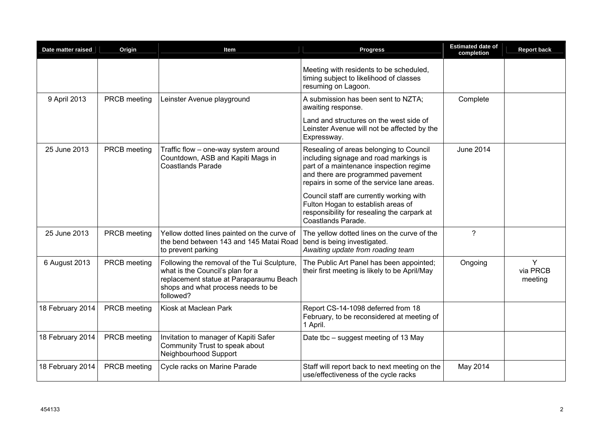| Date matter raised | Origin       | Item                                                                                                                                                                          | <b>Progress</b>                                                                                                                                                                                                 | <b>Estimated date of</b><br>completion | <b>Report back</b>       |
|--------------------|--------------|-------------------------------------------------------------------------------------------------------------------------------------------------------------------------------|-----------------------------------------------------------------------------------------------------------------------------------------------------------------------------------------------------------------|----------------------------------------|--------------------------|
|                    |              |                                                                                                                                                                               | Meeting with residents to be scheduled,<br>timing subject to likelihood of classes<br>resuming on Lagoon.                                                                                                       |                                        |                          |
| 9 April 2013       | PRCB meeting | Leinster Avenue playground                                                                                                                                                    | A submission has been sent to NZTA;<br>awaiting response.                                                                                                                                                       | Complete                               |                          |
|                    |              |                                                                                                                                                                               | Land and structures on the west side of<br>Leinster Avenue will not be affected by the<br>Expressway.                                                                                                           |                                        |                          |
| 25 June 2013       | PRCB meeting | Traffic flow - one-way system around<br>Countdown, ASB and Kapiti Mags in<br><b>Coastlands Parade</b>                                                                         | Resealing of areas belonging to Council<br>including signage and road markings is<br>part of a maintenance inspection regime<br>and there are programmed pavement<br>repairs in some of the service lane areas. | <b>June 2014</b>                       |                          |
|                    |              |                                                                                                                                                                               | Council staff are currently working with<br>Fulton Hogan to establish areas of<br>responsibility for resealing the carpark at<br>Coastlands Parade.                                                             |                                        |                          |
| 25 June 2013       | PRCB meeting | Yellow dotted lines painted on the curve of<br>the bend between 143 and 145 Matai Road<br>to prevent parking                                                                  | The yellow dotted lines on the curve of the<br>bend is being investigated.<br>Awaiting update from roading team                                                                                                 | ?                                      |                          |
| 6 August 2013      | PRCB meeting | Following the removal of the Tui Sculpture,<br>what is the Council's plan for a<br>replacement statue at Paraparaumu Beach<br>shops and what process needs to be<br>followed? | The Public Art Panel has been appointed;<br>their first meeting is likely to be April/May                                                                                                                       | Ongoing                                | Y<br>via PRCB<br>meeting |
| 18 February 2014   | PRCB meeting | Kiosk at Maclean Park                                                                                                                                                         | Report CS-14-1098 deferred from 18<br>February, to be reconsidered at meeting of<br>1 April.                                                                                                                    |                                        |                          |
| 18 February 2014   | PRCB meeting | Invitation to manager of Kapiti Safer<br>Community Trust to speak about<br>Neighbourhood Support                                                                              | Date tbc – suggest meeting of 13 May                                                                                                                                                                            |                                        |                          |
| 18 February 2014   | PRCB meeting | Cycle racks on Marine Parade                                                                                                                                                  | Staff will report back to next meeting on the<br>use/effectiveness of the cycle racks                                                                                                                           | May 2014                               |                          |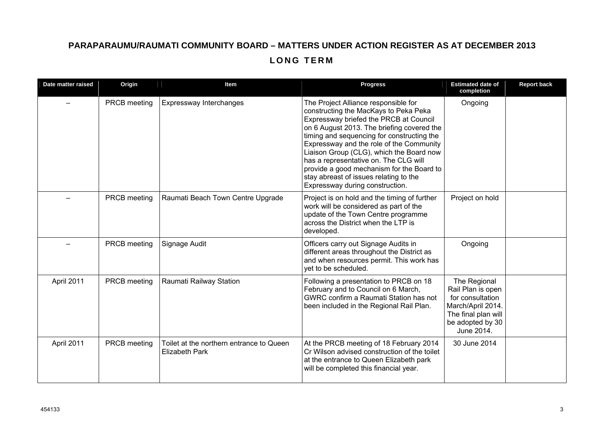## **PARAPARAUMU/RAUMATI COMMUNITY BOARD – MATTERS UNDER ACTION REGISTER AS AT DECEMBER 2013 LONG TERM**

| Date matter raised | Origin       | Item                                                              | <b>Progress</b>                                                                                                                                                                                                                                                                                                                                                                                                                                                                | <b>Estimated date of</b><br>completion                                                                                              | <b>Report back</b> |
|--------------------|--------------|-------------------------------------------------------------------|--------------------------------------------------------------------------------------------------------------------------------------------------------------------------------------------------------------------------------------------------------------------------------------------------------------------------------------------------------------------------------------------------------------------------------------------------------------------------------|-------------------------------------------------------------------------------------------------------------------------------------|--------------------|
|                    | PRCB meeting | Expressway Interchanges                                           | The Project Alliance responsible for<br>constructing the MacKays to Peka Peka<br>Expressway briefed the PRCB at Council<br>on 6 August 2013. The briefing covered the<br>timing and sequencing for constructing the<br>Expressway and the role of the Community<br>Liaison Group (CLG), which the Board now<br>has a representative on. The CLG will<br>provide a good mechanism for the Board to<br>stay abreast of issues relating to the<br>Expressway during construction. | Ongoing                                                                                                                             |                    |
|                    | PRCB meeting | Raumati Beach Town Centre Upgrade                                 | Project is on hold and the timing of further<br>work will be considered as part of the<br>update of the Town Centre programme<br>across the District when the LTP is<br>developed.                                                                                                                                                                                                                                                                                             | Project on hold                                                                                                                     |                    |
|                    | PRCB meeting | Signage Audit                                                     | Officers carry out Signage Audits in<br>different areas throughout the District as<br>and when resources permit. This work has<br>yet to be scheduled.                                                                                                                                                                                                                                                                                                                         | Ongoing                                                                                                                             |                    |
| April 2011         | PRCB meeting | Raumati Railway Station                                           | Following a presentation to PRCB on 18<br>February and to Council on 6 March,<br>GWRC confirm a Raumati Station has not<br>been included in the Regional Rail Plan.                                                                                                                                                                                                                                                                                                            | The Regional<br>Rail Plan is open<br>for consultation<br>March/April 2014.<br>The final plan will<br>be adopted by 30<br>June 2014. |                    |
| April 2011         | PRCB meeting | Toilet at the northern entrance to Queen<br><b>Elizabeth Park</b> | At the PRCB meeting of 18 February 2014<br>Cr Wilson advised construction of the toilet<br>at the entrance to Queen Elizabeth park<br>will be completed this financial year.                                                                                                                                                                                                                                                                                                   | 30 June 2014                                                                                                                        |                    |